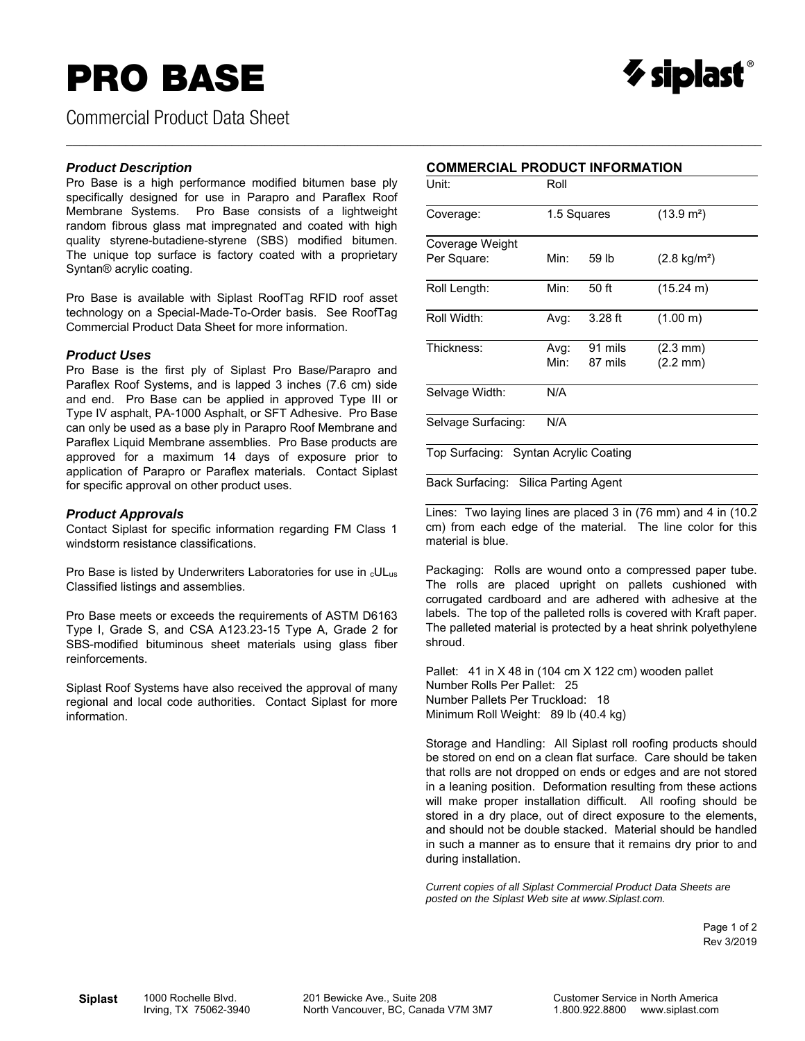# **PRO BASE**

Commercial Product Data Sheet

#### *Product Description*

Pro Base is a high performance modified bitumen base ply specifically designed for use in Parapro and Paraflex Roof Membrane Systems. Pro Base consists of a lightweight random fibrous glass mat impregnated and coated with high quality styrene-butadiene-styrene (SBS) modified bitumen. The unique top surface is factory coated with a proprietary Syntan® acrylic coating.

Pro Base is available with Siplast RoofTag RFID roof asset technology on a Special-Made-To-Order basis. See RoofTag Commercial Product Data Sheet for more information.

#### *Product Uses*

Pro Base is the first ply of Siplast Pro Base/Parapro and Paraflex Roof Systems, and is lapped 3 inches (7.6 cm) side and end. Pro Base can be applied in approved Type III or Type IV asphalt, PA-1000 Asphalt, or SFT Adhesive. Pro Base can only be used as a base ply in Parapro Roof Membrane and Paraflex Liquid Membrane assemblies. Pro Base products are approved for a maximum 14 days of exposure prior to application of Parapro or Paraflex materials. Contact Siplast for specific approval on other product uses.

#### *Product Approvals*

Contact Siplast for specific information regarding FM Class 1 windstorm resistance classifications.

Pro Base is listed by Underwriters Laboratories for use in cULus Classified listings and assemblies.

Pro Base meets or exceeds the requirements of ASTM D6163 Type I, Grade S, and CSA A123.23-15 Type A, Grade 2 for SBS-modified bituminous sheet materials using glass fiber reinforcements.

Siplast Roof Systems have also received the approval of many regional and local code authorities. Contact Siplast for more information.

### **COMMERCIAL PRODUCT INFORMATION**

 $\gamma$  siplast $\degree$ 

 $\_$  , and the state of the state of the state of the state of the state of the state of the state of the state of the state of the state of the state of the state of the state of the state of the state of the state of the

| Unit:                                 | Roll        |           |                        |  |  |  |  |
|---------------------------------------|-------------|-----------|------------------------|--|--|--|--|
| Coverage:                             | 1.5 Squares |           | (13.9 m <sup>2</sup> ) |  |  |  |  |
| Coverage Weight                       |             |           |                        |  |  |  |  |
| Per Square:                           | Min:        | 59 lb     | $(2.8 \text{ kg/m}^2)$ |  |  |  |  |
| Roll Length:                          | Min:        | 50 ft     | $(15.24 \text{ m})$    |  |  |  |  |
| Roll Width:                           | Avg:        | $3.28$ ft | (1.00 m)               |  |  |  |  |
| Thickness:                            | Avg:        | 91 mils   | $(2.3 \text{ mm})$     |  |  |  |  |
|                                       | Min:        | 87 mils   | $(2.2 \text{ mm})$     |  |  |  |  |
| Selvage Width:                        | N/A         |           |                        |  |  |  |  |
| Selvage Surfacing:                    | N/A         |           |                        |  |  |  |  |
| Top Surfacing: Syntan Acrylic Coating |             |           |                        |  |  |  |  |

Back Surfacing: Silica Parting Agent

Lines: Two laying lines are placed 3 in (76 mm) and 4 in (10.2 cm) from each edge of the material. The line color for this material is blue.

Packaging: Rolls are wound onto a compressed paper tube. The rolls are placed upright on pallets cushioned with corrugated cardboard and are adhered with adhesive at the labels. The top of the palleted rolls is covered with Kraft paper. The palleted material is protected by a heat shrink polyethylene shroud.

Pallet: 41 in X 48 in (104 cm X 122 cm) wooden pallet Number Rolls Per Pallet: 25 Number Pallets Per Truckload: 18 Minimum Roll Weight: 89 lb (40.4 kg)

Storage and Handling: All Siplast roll roofing products should be stored on end on a clean flat surface. Care should be taken that rolls are not dropped on ends or edges and are not stored in a leaning position. Deformation resulting from these actions will make proper installation difficult. All roofing should be stored in a dry place, out of direct exposure to the elements, and should not be double stacked. Material should be handled in such a manner as to ensure that it remains dry prior to and during installation.

*Current copies of all Siplast Commercial Product Data Sheets are posted on the Siplast Web site at www.Siplast.com.* 

> Page 1 of 2 Rev 3/2019